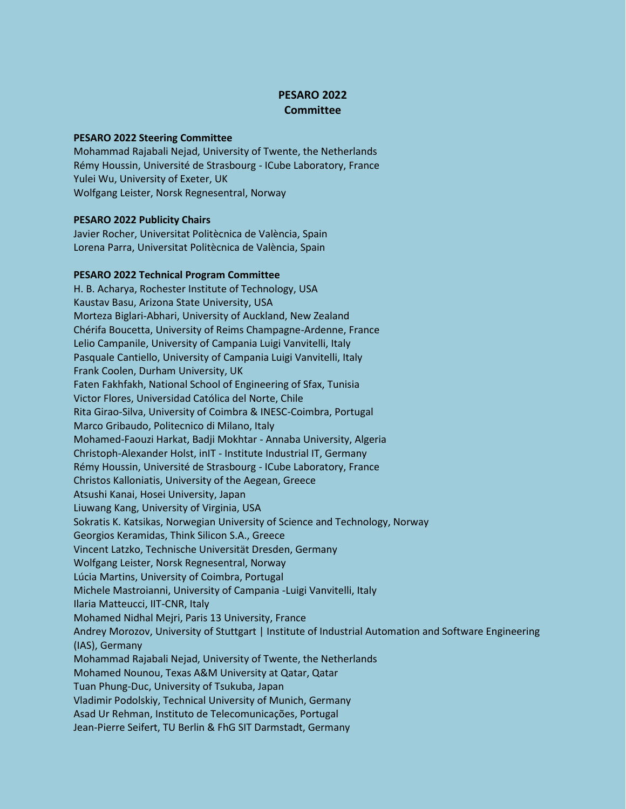## **PESARO 2022 Committee**

## **PESARO 2022 Steering Committee**

Mohammad Rajabali Nejad, University of Twente, the Netherlands Rémy Houssin, Université de Strasbourg - ICube Laboratory, France Yulei Wu, University of Exeter, UK Wolfgang Leister, Norsk Regnesentral, Norway

## **PESARO 2022 Publicity Chairs**

Javier Rocher, Universitat Politècnica de València, Spain Lorena Parra, Universitat Politècnica de València, Spain

## **PESARO 2022 Technical Program Committee**

H. B. Acharya, Rochester Institute of Technology, USA Kaustav Basu, Arizona State University, USA Morteza Biglari-Abhari, University of Auckland, New Zealand Chérifa Boucetta, University of Reims Champagne-Ardenne, France Lelio Campanile, University of Campania Luigi Vanvitelli, Italy Pasquale Cantiello, University of Campania Luigi Vanvitelli, Italy Frank Coolen, Durham University, UK Faten Fakhfakh, National School of Engineering of Sfax, Tunisia Victor Flores, Universidad Católica del Norte, Chile Rita Girao-Silva, University of Coimbra & INESC-Coimbra, Portugal Marco Gribaudo, Politecnico di Milano, Italy Mohamed-Faouzi Harkat, Badji Mokhtar - Annaba University, Algeria Christoph-Alexander Holst, inIT - Institute Industrial IT, Germany Rémy Houssin, Université de Strasbourg - ICube Laboratory, France Christos Kalloniatis, University of the Aegean, Greece Atsushi Kanai, Hosei University, Japan Liuwang Kang, University of Virginia, USA Sokratis K. Katsikas, Norwegian University of Science and Technology, Norway Georgios Keramidas, Think Silicon S.A., Greece Vincent Latzko, Technische Universität Dresden, Germany Wolfgang Leister, Norsk Regnesentral, Norway Lúcia Martins, University of Coimbra, Portugal Michele Mastroianni, University of Campania -Luigi Vanvitelli, Italy Ilaria Matteucci, IIT*-*CNR, Italy Mohamed Nidhal Mejri, Paris 13 University, France Andrey Morozov, University of Stuttgart | Institute of Industrial Automation and Software Engineering (IAS), Germany Mohammad Rajabali Nejad, University of Twente, the Netherlands Mohamed Nounou, Texas A&M University at Qatar, Qatar Tuan Phung-Duc, University of Tsukuba, Japan Vladimir Podolskiy, Technical University of Munich, Germany Asad Ur Rehman, Instituto de Telecomunicações, Portugal Jean-Pierre Seifert, TU Berlin & FhG SIT Darmstadt, Germany